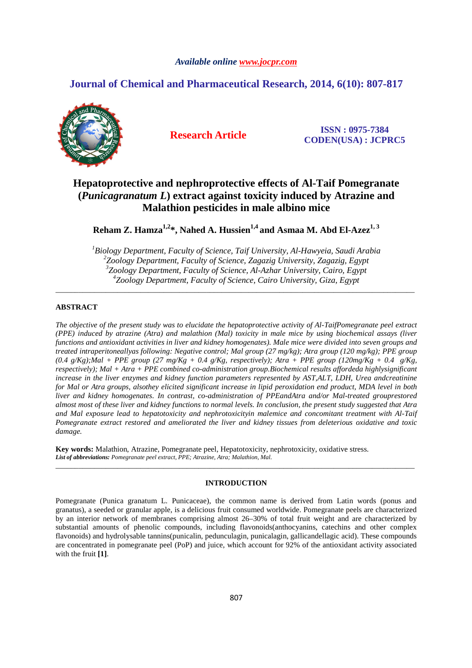## *Available online www.jocpr.com*

# **Journal of Chemical and Pharmaceutical Research, 2014, 6(10): 807-817**



**Research Article ISSN : 0975-7384 CODEN(USA) : JCPRC5**

# **Hepatoprotective and nephroprotective effects of Al-Taif Pomegranate (***Punicagranatum L***) extract against toxicity induced by Atrazine and Malathion pesticides in male albino mice**

**Reham Z. Hamza1,2\*, Nahed A. Hussien1,4 and Asmaa M. Abd El-Azez1, 3** 

*Biology Department, Faculty of Science, Taif University, Al-Hawyeia, Saudi Arabia Zoology Department, Faculty of Science, Zagazig University, Zagazig, Egypt Zoology Department, Faculty of Science, Al-Azhar University, Cairo, Egypt Zoology Department, Faculty of Science, Cairo University, Giza, Egypt* 

\_\_\_\_\_\_\_\_\_\_\_\_\_\_\_\_\_\_\_\_\_\_\_\_\_\_\_\_\_\_\_\_\_\_\_\_\_\_\_\_\_\_\_\_\_\_\_\_\_\_\_\_\_\_\_\_\_\_\_\_\_\_\_\_\_\_\_\_\_\_\_\_\_\_\_\_\_\_\_\_\_\_\_\_\_\_\_\_\_\_\_\_\_

## **ABSTRACT**

*The objective of the present study was to elucidate the hepatoprotective activity of Al-TaifPomegranate peel extract (PPE) induced by atrazine (Atra) and malathion (Mal) toxicity in male mice by using biochemical assays (liver functions and antioxidant activities in liver and kidney homogenates). Male mice were divided into seven groups and treated intraperitoneallyas following: Negative control; Mal group (27 mg/kg); Atra group (120 mg/kg); PPE group (0.4 g/Kg);Mal + PPE group (27 mg/Kg + 0.4 g/Kg, respectively); Atra + PPE group (120mg/Kg + 0.4 g/Kg, respectively); Mal + Atra + PPE combined co-administration group.Biochemical results affordeda highlysignificant increase in the liver enzymes and kidney function parameters represented by AST,ALT, LDH, Urea andcreatinine for Mal or Atra groups, alsothey elicited significant increase in lipid peroxidation end product, MDA level in both liver and kidney homogenates. In contrast, co-administration of PPEandAtra and/or Mal-treated grouprestored almost most of these liver and kidney functions to normal levels. In conclusion, the present study suggested that Atra and Mal exposure lead to hepatotoxicity and nephrotoxicityin malemice and concomitant treatment with Al-Taif Pomegranate extract restored and ameliorated the liver and kidney tissues from deleterious oxidative and toxic damage.* 

**Key words:** Malathion, Atrazine, Pomegranate peel, Hepatotoxicity, nephrotoxicity, oxidative stress. *List of abbreviations: Pomegranate peel extract, PPE; Atrazine, Atra; Malathion, Mal.* 

## **INTRODUCTION**

\_\_\_\_\_\_\_\_\_\_\_\_\_\_\_\_\_\_\_\_\_\_\_\_\_\_\_\_\_\_\_\_\_\_\_\_\_\_\_\_\_\_\_\_\_\_\_\_\_\_\_\_\_\_\_\_\_\_\_\_\_\_\_\_\_\_\_\_\_\_\_\_\_\_\_\_\_\_\_\_\_\_\_\_\_\_\_\_\_\_\_\_\_

Pomegranate (Punica granatum L. Punicaceae), the common name is derived from Latin words (ponus and granatus), a seeded or granular apple, is a delicious fruit consumed worldwide. Pomegranate peels are characterized by an interior network of membranes comprising almost 26–30% of total fruit weight and are characterized by substantial amounts of phenolic compounds, including flavonoids(anthocyanins, catechins and other complex flavonoids) and hydrolysable tannins(punicalin, pedunculagin, punicalagin, gallicandellagic acid). These compounds are concentrated in pomegranate peel (PoP) and juice, which account for 92% of the antioxidant activity associated with the fruit **[1]**.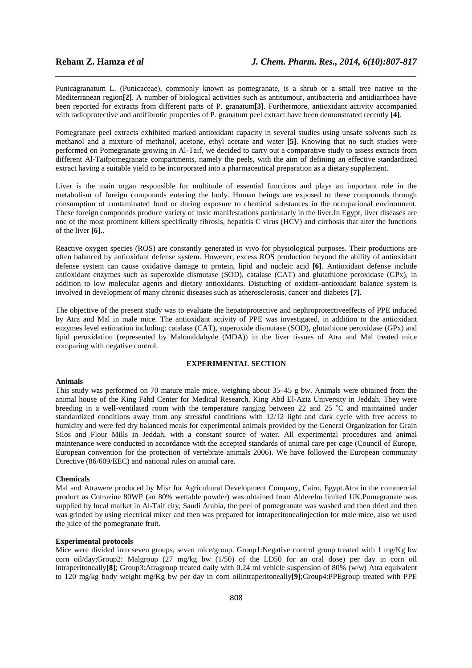Punicagranatum L. (Punicaceae), commonly known as pomegranate, is a shrub or a small tree native to the Mediterranean region**[2]**. A number of biological activities such as antitumour, antibacteria and antidiarrhoea have been reported for extracts from different parts of P. granatum**[3]**. Furthermore, antioxidant activity accompanied with radioprotective and antifibrotic properties of P. granatum peel extract have been demonstrated recently **[4]**.

*\_\_\_\_\_\_\_\_\_\_\_\_\_\_\_\_\_\_\_\_\_\_\_\_\_\_\_\_\_\_\_\_\_\_\_\_\_\_\_\_\_\_\_\_\_\_\_\_\_\_\_\_\_\_\_\_\_\_\_\_\_\_\_\_\_\_\_\_\_\_\_\_\_\_\_\_\_\_*

Pomegranate peel extracts exhibited marked antioxidant capacity in several studies using unsafe solvents such as methanol and a mixture of methanol, acetone, ethyl acetate and water **[5]**. Knowing that no such studies were performed on Pomegranate growing in Al-Taif, we decided to carry out a comparative study to assess extracts from different Al-Taifpomegranate compartments, namely the peels, with the aim of defining an effective standardized extract having a suitable yield to be incorporated into a pharmaceutical preparation as a dietary supplement.

Liver is the main organ responsible for multitude of essential functions and plays an important role in the metabolism of foreign compounds entering the body. Human beings are exposed to these compounds through consumption of contaminated food or during exposure to chemical substances in the occupational environment. These foreign compounds produce variety of toxic manifestations particularly in the liver.In Egypt, liver diseases are one of the most prominent killers specifically fibrosis, hepatitis C virus (HCV) and cirrhosis that alter the functions of the liver **[6].**.

Reactive oxygen species (ROS) are constantly generated in vivo for physiological purposes. Their productions are often balanced by antioxidant defense system. However, excess ROS production beyond the ability of antioxidant defense system can cause oxidative damage to protein, lipid and nucleic acid **[6]**. Antioxidant defense include antioxidant enzymes such as superoxide dismutase (SOD), catalase (CAT) and glutathione peroxidase (GPx), in addition to low molecular agents and dietary antioxidants. Disturbing of oxidant–antioxidant balance system is involved in development of many chronic diseases such as atherosclerosis, cancer and diabetes **[7]**.

The objective of the present study was to evaluate the hepatoprotective and nephroprotectiveeffects of PPE induced by Atra and Mal in male mice. The antioxidant activity of PPE was investigated, in addition to the antioxidant enzymes level estimation including: catalase (CAT), superoxide dismutase (SOD), glutathione peroxidase (GPx) and lipid peroxidation (represented by Malonaldahyde (MDA)) in the liver tissues of Atra and Mal treated mice comparing with negative control.

## **EXPERIMENTAL SECTION**

## **Animals**

This study was performed on 70 mature male mice, weighing about 35–45 g bw. Animals were obtained from the animal house of the King Fahd Center for Medical Research, King Abd El-Aziz University in Jeddah. They were breeding in a well-ventilated room with the temperature ranging between 22 and 25 ˚C and maintained under standardized conditions away from any stressful conditions with 12/12 light and dark cycle with free access to humidity and were fed dry balanced meals for experimental animals provided by the General Organization for Grain Silos and Flour Mills in Jeddah, with a constant source of water. All experimental procedures and animal maintenance were conducted in accordance with the accepted standards of animal care per cage (Council of Europe, European convention for the protection of vertebrate animals 2006). We have followed the European community Directive (86/609/EEC) and national rules on animal care.

### **Chemicals**

Mal and Atrawere produced by Misr for Agricultural Development Company, Cairo, Egypt.Atra in the commercial product as Cotrazine 80WP (an 80% wettable powder) was obtained from Alderelm limited UK.Pomegranate was supplied by local market in Al-Taif city, Saudi Arabia, the peel of pomegranate was washed and then dried and then was grinded by using electrical mixer and then was prepared for intraperitonealinjection for male mice, also we used the juice of the pomegranate fruit.

## **Experimental protocols**

Mice were divided into seven groups, seven mice/group. Group1:Negative control group treated with 1 mg/Kg bw corn oil/day;Group2: Malgroup (27 mg/kg bw (1/50) of the LD50 for an oral dose) per day in corn oil intraperitoneally**[8]**; Group3:Atragroup treated daily with 0.24 ml vehicle suspension of 80% (w/w) Atra equivalent to 120 mg/kg body weight mg/Kg bw per day in corn oilintraperitoneally**[9]**;Group4:PPEgroup treated with PPE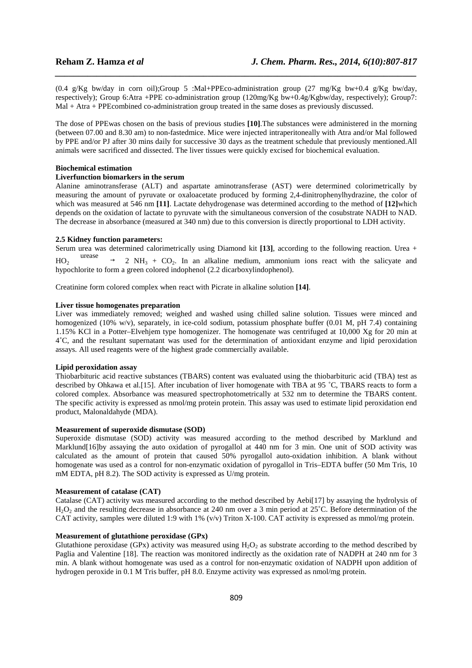(0.4 g/Kg bw/day in corn oil);Group 5 :Mal+PPEco-administration group (27 mg/Kg bw+0.4 g/Kg bw/day, respectively); Group 6:Atra +PPE co-administration group (120mg/Kg bw+0.4g/Kgbw/day, respectively); Group7: Mal + Atra + PPEcombined co-administration group treated in the same doses as previously discussed.

*\_\_\_\_\_\_\_\_\_\_\_\_\_\_\_\_\_\_\_\_\_\_\_\_\_\_\_\_\_\_\_\_\_\_\_\_\_\_\_\_\_\_\_\_\_\_\_\_\_\_\_\_\_\_\_\_\_\_\_\_\_\_\_\_\_\_\_\_\_\_\_\_\_\_\_\_\_\_*

The dose of PPEwas chosen on the basis of previous studies **[10]**.The substances were administered in the morning (between 07.00 and 8.30 am) to non-fastedmice. Mice were injected intraperitoneally with Atra and/or Mal followed by PPE and/or PJ after 30 mins daily for successive 30 days as the treatment schedule that previously mentioned.All animals were sacrificed and dissected. The liver tissues were quickly excised for biochemical evaluation.

## **Biochemical estimation**

## **Liverfunction biomarkers in the serum**

Alanine aminotransferase (ALT) and aspartate aminotransferase (AST) were determined colorimetrically by measuring the amount of pyruvate or oxaloacetate produced by forming 2,4-dinitrophenylhydrazine, the color of which was measured at 546 nm **[11]**. Lactate dehydrogenase was determined according to the method of **[12]**which depends on the oxidation of lactate to pyruvate with the simultaneous conversion of the cosubstrate NADH to NAD. The decrease in absorbance (measured at 340 nm) due to this conversion is directly proportional to LDH activity.

#### **2.5 Kidney function parameters:**

Serum urea was determined calorimetrically using Diamond kit **[13]**, according to the following reaction. Urea +  $HO_2 - \frac{urease}{-} \rightarrow$  2 NH<sub>3</sub> + CO<sub>2</sub>. In an alkaline medium, ammonium ions react with the salicyate and hypochlorite to form a green colored indophenol (2.2 dicarboxylindophenol).

Creatinine form colored complex when react with Picrate in alkaline solution **[14]**.

### **Liver tissue homogenates preparation**

Liver was immediately removed; weighed and washed using chilled saline solution. Tissues were minced and homogenized (10% w/v), separately, in ice-cold sodium, potassium phosphate buffer (0.01 M, pH 7.4) containing 1.15% KCl in a Potter–Elvehjem type homogenizer. The homogenate was centrifuged at 10,000 Xg for 20 min at 4˚C, and the resultant supernatant was used for the determination of antioxidant enzyme and lipid peroxidation assays. All used reagents were of the highest grade commercially available.

### **Lipid peroxidation assay**

Thiobarbituric acid reactive substances (TBARS) content was evaluated using the thiobarbituric acid (TBA) test as described by Ohkawa et al.[15]. After incubation of liver homogenate with TBA at 95 ˚C, TBARS reacts to form a colored complex. Absorbance was measured spectrophotometrically at 532 nm to determine the TBARS content. The specific activity is expressed as nmol/mg protein protein. This assay was used to estimate lipid peroxidation end product, Malonaldahyde (MDA).

## **Measurement of superoxide dismutase (SOD)**

Superoxide dismutase (SOD) activity was measured according to the method described by Marklund and Marklund[16]by assaying the auto oxidation of pyrogallol at 440 nm for 3 min. One unit of SOD activity was calculated as the amount of protein that caused 50% pyrogallol auto-oxidation inhibition. A blank without homogenate was used as a control for non-enzymatic oxidation of pyrogallol in Tris–EDTA buffer (50 Mm Tris, 10 mM EDTA, pH 8.2). The SOD activity is expressed as U/mg protein.

#### **Measurement of catalase (CAT)**

Catalase (CAT) activity was measured according to the method described by Aebi[17] by assaying the hydrolysis of H<sub>2</sub>O<sub>2</sub> and the resulting decrease in absorbance at 240 nm over a 3 min period at 25<sup>°</sup>C. Before determination of the CAT activity, samples were diluted 1:9 with 1% (v/v) Triton X-100. CAT activity is expressed as mmol/mg protein.

## **Measurement of glutathione peroxidase (GPx)**

Glutathione peroxidase (GPx) activity was measured using  $H_2O_2$  as substrate according to the method described by Paglia and Valentine [18]. The reaction was monitored indirectly as the oxidation rate of NADPH at 240 nm for 3 min. A blank without homogenate was used as a control for non-enzymatic oxidation of NADPH upon addition of hydrogen peroxide in 0.1 M Tris buffer, pH 8.0. Enzyme activity was expressed as nmol/mg protein.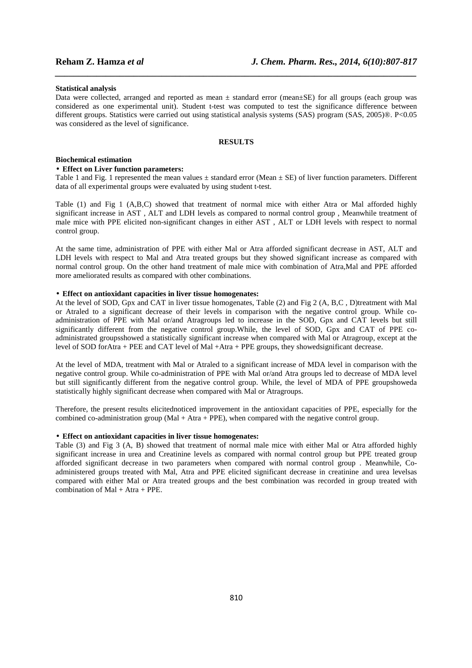#### **Statistical analysis**

Data were collected, arranged and reported as mean ± standard error (mean±SE) for all groups (each group was considered as one experimental unit). Student t-test was computed to test the significance difference between different groups. Statistics were carried out using statistical analysis systems (SAS) program (SAS, 2005)®. P<0.05 was considered as the level of significance.

*\_\_\_\_\_\_\_\_\_\_\_\_\_\_\_\_\_\_\_\_\_\_\_\_\_\_\_\_\_\_\_\_\_\_\_\_\_\_\_\_\_\_\_\_\_\_\_\_\_\_\_\_\_\_\_\_\_\_\_\_\_\_\_\_\_\_\_\_\_\_\_\_\_\_\_\_\_\_*

#### **RESULTS**

### **Biochemical estimation**

## • **Effect on Liver function parameters:**

Table 1 and Fig. 1 represented the mean values  $\pm$  standard error (Mean  $\pm$  SE) of liver function parameters. Different data of all experimental groups were evaluated by using student t-test.

Table (1) and Fig 1 (A,B,C) showed that treatment of normal mice with either Atra or Mal afforded highly significant increase in AST , ALT and LDH levels as compared to normal control group , Meanwhile treatment of male mice with PPE elicited non-significant changes in either AST , ALT or LDH levels with respect to normal control group.

At the same time, administration of PPE with either Mal or Atra afforded significant decrease in AST, ALT and LDH levels with respect to Mal and Atra treated groups but they showed significant increase as compared with normal control group. On the other hand treatment of male mice with combination of Atra,Mal and PPE afforded more ameliorated results as compared with other combinations.

### • **Effect on antioxidant capacities in liver tissue homogenates:**

At the level of SOD, Gpx and CAT in liver tissue homogenates, Table (2) and Fig 2 (A, B,C , D)treatment with Mal or Atraled to a significant decrease of their levels in comparison with the negative control group. While coadministration of PPE with Mal or/and Atragroups led to increase in the SOD, Gpx and CAT levels but still significantly different from the negative control group.While, the level of SOD, Gpx and CAT of PPE coadministrated groupsshowed a statistically significant increase when compared with Mal or Atragroup, except at the level of SOD forAtra + PEE and CAT level of Mal +Atra + PPE groups, they showedsignificant decrease.

At the level of MDA, treatment with Mal or Atraled to a significant increase of MDA level in comparison with the negative control group. While co-administration of PPE with Mal or/and Atra groups led to decrease of MDA level but still significantly different from the negative control group. While, the level of MDA of PPE groupshoweda statistically highly significant decrease when compared with Mal or Atragroups.

Therefore, the present results elicitednoticed improvement in the antioxidant capacities of PPE, especially for the combined co-administration group (Mal + Atra + PPE), when compared with the negative control group.

### • **Effect on antioxidant capacities in liver tissue homogenates:**

Table (3) and Fig 3 (A, B) showed that treatment of normal male mice with either Mal or Atra afforded highly significant increase in urea and Creatinine levels as compared with normal control group but PPE treated group afforded significant decrease in two parameters when compared with normal control group . Meanwhile, Coadministered groups treated with Mal, Atra and PPE elicited significant decrease in creatinine and urea levelsas compared with either Mal or Atra treated groups and the best combination was recorded in group treated with combination of Mal + Atra + PPE.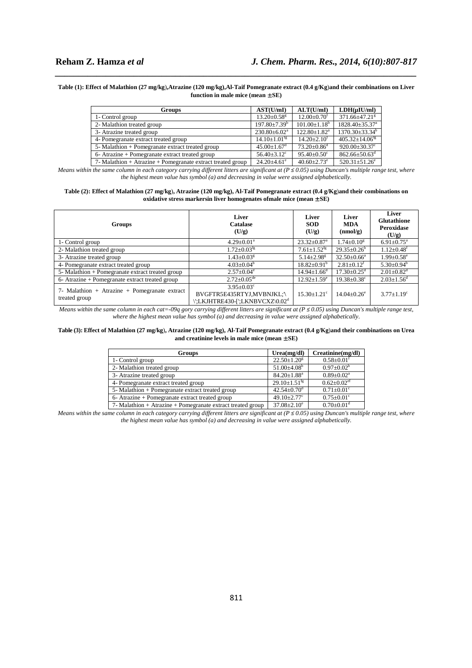#### **Table (1): Effect of Malathion (27 mg/kg**)**,Atrazine (120 mg/kg),Al-Taif Pomegranate extract (0.4 g/Kg**)**and their combinations on Liver function in male mice (mean** ± **SE)**

*\_\_\_\_\_\_\_\_\_\_\_\_\_\_\_\_\_\_\_\_\_\_\_\_\_\_\_\_\_\_\_\_\_\_\_\_\_\_\_\_\_\_\_\_\_\_\_\_\_\_\_\_\_\_\_\_\_\_\_\_\_\_\_\_\_\_\_\_\_\_\_\_\_\_\_\_\_\_*

| <b>Groups</b>                                                   | AST(U/mI)                      | ALT(U/mI)                      | $LDH(\mu IU/ml)$                 |
|-----------------------------------------------------------------|--------------------------------|--------------------------------|----------------------------------|
| 1- Control group                                                | $13.20 \pm 0.58$ <sup>g</sup>  | $12.00 \pm 0.70$ <sup>f</sup>  | 371.66±47.21 <sup>g</sup>        |
| 2- Malathion treated group                                      | $197.80 \pm 7.39^b$            | $101.00 \pm 1.18^b$            | $1828.40 \pm 35.37$ <sup>a</sup> |
| 3- Atrazine treated group                                       | $230.80 \pm 6.02^a$            | $122.80 \pm 1.82$ <sup>a</sup> | $1370.30\pm33.34^b$              |
| 4- Pomegranate extract treated group                            | $14.10 \pm 1.01$ <sup>fg</sup> | $14.20 + 2.10f$                | $405.32 \pm 14.06$ <sup>fg</sup> |
| 5- Malathion + Pomegranate extract treated group                | $45.00 \pm 1.67$ <sup>d</sup>  | $73.20 \pm 0.86$ <sup>d</sup>  | $920.00 \pm 30.37$ <sup>c</sup>  |
| 6- Atrazine + Pomegranate extract treated group                 | $56.40 \pm 3.12$ <sup>c</sup>  | $95.40 \pm 0.50$ <sup>c</sup>  | $862.66 \pm 50.63$ <sup>d</sup>  |
| 7- Malathion $+$ Atrazine $+$ Pomegranate extract treated group | $24.20 + 4.61$ <sup>e</sup>    | $40.60 \pm 2.73$ <sup>e</sup>  | $520.31 \pm 51.26$ <sup>e</sup>  |

*Means within the same column in each category carrying different litters are significant at (* $P \le 0.05$ *) using Duncan's multiple range test, where the highest mean value has symbol (a) and decreasing in value were assigned alphabetically.*

#### **Table (2): Effect of Malathion (27 mg/kg**)**, Atrazine (120 mg/kg), Al-Taif Pomegranate extract (0.4 g/Kg**)**and their combinations on oxidative stress markersin liver homogenates ofmale mice (mean** ± **SE)**

| Groups                                                         | Liver<br>Catalase<br>(U/g)                                                                         | Liver<br><b>SOD</b><br>(U/g)  | Liver<br><b>MDA</b><br>(mmol/g) | Liver<br><b>Glutathione</b><br>Peroxidase<br>(U/g) |
|----------------------------------------------------------------|----------------------------------------------------------------------------------------------------|-------------------------------|---------------------------------|----------------------------------------------------|
| 1- Control group                                               | $4.29 \pm 0.01^a$                                                                                  | $23.32 \pm 0.87$ <sup>a</sup> | $1.74 \pm 0.10^8$               | $6.91 \pm 0.75$ <sup>a</sup>                       |
| 2- Malathion treated group                                     | $1.72 \pm 0.03$ <sup>fg</sup>                                                                      | $7.61 \pm 1.52$ <sup>tg</sup> | $29.35 \pm 0.26$ <sup>b</sup>   | $1.12 \pm 0.48$ <sup>t</sup>                       |
| 3- Atrazine treated group                                      | $1.43 \pm 0.03$ <sup>g</sup>                                                                       | $5.14 \pm 2.98$ <sup>g</sup>  | $32.50 \pm 0.66^a$              | $1.99 \pm 0.58$ <sup>e</sup>                       |
| 4- Pomegranate extract treated group                           | $4.03 \pm 0.04^b$                                                                                  | $18.82 \pm 0.91^{\circ}$      | $2.81 \pm 0.12$ <sup>f</sup>    | $5.30 \pm 0.94^b$                                  |
| 5- Malathion + Pomegranate extract treated group               | $2.57 \pm 0.04^e$                                                                                  | $14.94 \pm 1.66^{\circ}$      | $17.30 \pm 0.25$ <sup>d</sup>   | $2.01 \pm 0.82$ <sup>d</sup>                       |
| 6- Atrazine + Pomegranate extract treated group                | $2.72 \pm 0.05^{\text{de}}$                                                                        | $12.92 \pm 1.59$ <sup>e</sup> | $19.38 \pm 0.38$ <sup>c</sup>   | $2.03 \pm 1.56$ <sup>d</sup>                       |
| 7- Malathion + Atrazine + Pomegranate extract<br>treated group | $3.95 + 0.03^{\circ}$<br>BVGFTR5E435RTYJ,MVBNJKL;\<br>EKJHTRE430-[';LKNBVCXZ\0.02 <sup>d'</sup> ;\ | $15.30 \pm 1.21$ <sup>c</sup> | $14.04 \pm 0.26$ <sup>e</sup>   | $3.77 \pm 1.19^c$                                  |

*Means within the same column in each cat=-09q gory carrying different litters are significant at (P*  $\leq$  *0.05) using Duncan's multiple range test, where the highest mean value has symbol (a) and decreasing in value were assigned alphabetically*.

#### **Table (3): Effect of Malathion (27 mg/kg**)**, Atrazine (120 mg/kg), Al-Taif Pomegranate extract (0.4 g/Kg**)**and their combinations on Urea and creatinine levels in male mice (mean** ± **SE)**

| Groups                                                      | Urea(mg/dl)                    | Creatinine(mg/dl)             |
|-------------------------------------------------------------|--------------------------------|-------------------------------|
| 1- Control group                                            | $22.50 \pm 1.20$ <sup>g</sup>  | $0.58 \pm 0.01$ <sup>f</sup>  |
| 2- Malathion treated group                                  | $51.00\pm4.08^{\rm b}$         | $0.97 \pm 0.02^b$             |
| 3- Atrazine treated group                                   | $84.20 \pm 1.88$ <sup>a</sup>  | $0.89 \pm 0.02^{\text{a}}$    |
| 4- Pomegranate extract treated group                        | $29.10 \pm 1.51$ <sup>fg</sup> | $0.62 \pm 0.02$ <sup>ef</sup> |
| 5- Malathion + Pomegranate extract treated group            | $42.54 \pm 0.70$ <sup>d</sup>  | $0.71 \pm 0.01$ <sup>c</sup>  |
| 6- Atrazine + Pomegranate extract treated group             | $49.10 \pm 2.77$ °             | $0.75 \pm 0.01$ <sup>c</sup>  |
| 7- Malathion + Atrazine + Pomegranate extract treated group | $37.08 \pm 2.10^e$             | $0.70 \pm 0.01$ <sup>d</sup>  |

*Means within the same column in each category carrying different litters are significant at (P ≤ 0.05) using Duncan's multiple range test, where the highest mean value has symbol (a) and decreasing in value were assigned alphabetically.*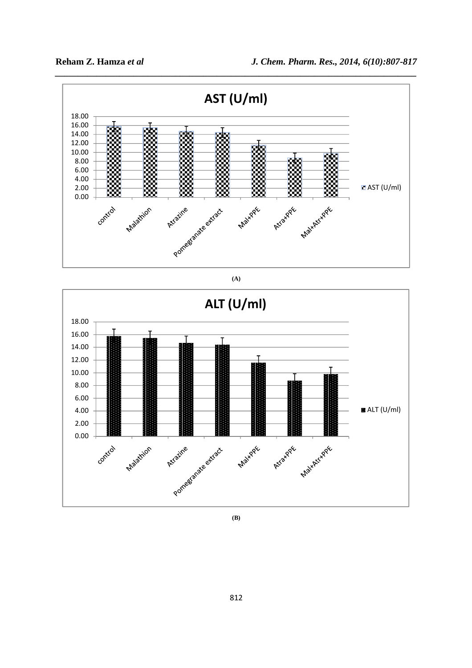

**(A)** 



**(B)** 

812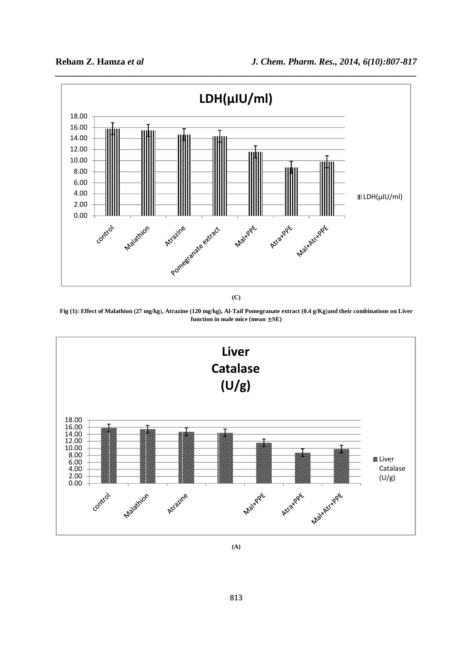

**(C)** 





**(A)**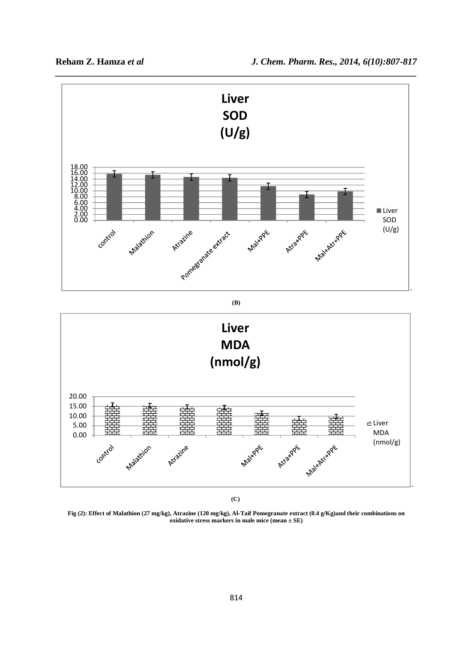

*\_\_\_\_\_\_\_\_\_\_\_\_\_\_\_\_\_\_\_\_\_\_\_\_\_\_\_\_\_\_\_\_\_\_\_\_\_\_\_\_\_\_\_\_\_\_\_\_\_\_\_\_\_\_\_\_\_\_\_\_\_\_\_\_\_\_\_\_\_\_\_\_\_\_\_\_\_\_*

**(C)** 

**Fig (2): Effect of Malathion (27 mg/kg), Atrazine (120 mg/kg), Al-Taif Pomegranate extract (0.4 g/Kg)and their combinations on oxidative stress markers in male mice (mean ± SE)**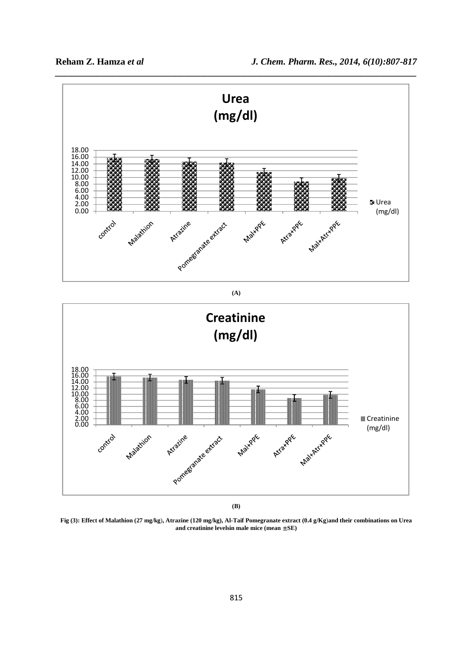

**Fig (3): Effect of Malathion (27 mg/kg**)**, Atrazine (120 mg/kg), Al-Taif Pomegranate extract (0.4 g/Kg**)**and their combinations on Urea and creatinine levelsin male mice (mean** ± **SE)**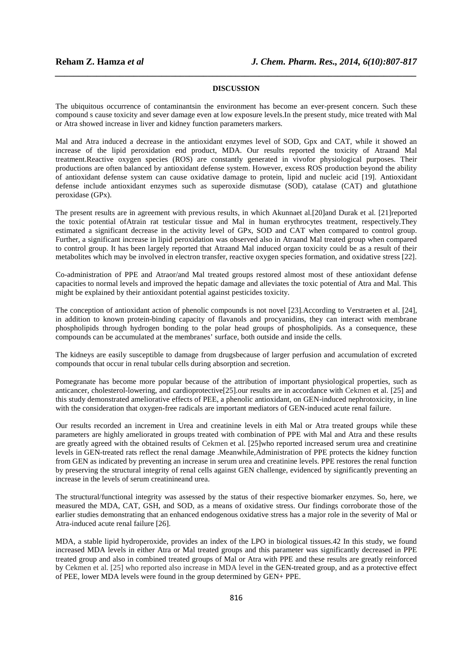# *\_\_\_\_\_\_\_\_\_\_\_\_\_\_\_\_\_\_\_\_\_\_\_\_\_\_\_\_\_\_\_\_\_\_\_\_\_\_\_\_\_\_\_\_\_\_\_\_\_\_\_\_\_\_\_\_\_\_\_\_\_\_\_\_\_\_\_\_\_\_\_\_\_\_\_\_\_\_* **DISCUSSION**

The ubiquitous occurrence of contaminantsin the environment has become an ever-present concern. Such these compound s cause toxicity and sever damage even at low exposure levels.In the present study, mice treated with Mal or Atra showed increase in liver and kidney function parameters markers.

Mal and Atra induced a decrease in the antioxidant enzymes level of SOD, Gpx and CAT, while it showed an increase of the lipid peroxidation end product, MDA. Our results reported the toxicity of Atraand Mal treatment.Reactive oxygen species (ROS) are constantly generated in vivofor physiological purposes. Their productions are often balanced by antioxidant defense system. However, excess ROS production beyond the ability of antioxidant defense system can cause oxidative damage to protein, lipid and nucleic acid [19]. Antioxidant defense include antioxidant enzymes such as superoxide dismutase (SOD), catalase (CAT) and glutathione peroxidase (GPx).

The present results are in agreement with previous results, in which Akunnaet al.[20]and Durak et al. [21]reported the toxic potential ofAtrain rat testicular tissue and Mal in human erythrocytes treatment, respectively.They estimated a significant decrease in the activity level of GPx, SOD and CAT when compared to control group. Further, a significant increase in lipid peroxidation was observed also in Atraand Mal treated group when compared to control group. It has been largely reported that Atraand Mal induced organ toxicity could be as a result of their metabolites which may be involved in electron transfer, reactive oxygen species formation, and oxidative stress [22].

Co-administration of PPE and Atraor/and Mal treated groups restored almost most of these antioxidant defense capacities to normal levels and improved the hepatic damage and alleviates the toxic potential of Atra and Mal. This might be explained by their antioxidant potential against pesticides toxicity.

The conception of antioxidant action of phenolic compounds is not novel [23]*.*According to Verstraeten et al. [24], in addition to known protein-binding capacity of flavanols and procyanidins, they can interact with membrane phospholipids through hydrogen bonding to the polar head groups of phospholipids. As a consequence, these compounds can be accumulated at the membranes' surface, both outside and inside the cells.

The kidneys are easily susceptible to damage from drugsbecause of larger perfusion and accumulation of excreted compounds that occur in renal tubular cells during absorption and secretion.

Pomegranate has become more popular because of the attribution of important physiological properties, such as anticancer, cholesterol-lowering, and cardioprotective[25].our results are in accordance with Cekmen et al. [25] and this study demonstrated ameliorative effects of PEE, a phenolic antioxidant, on GEN-induced nephrotoxicity, in line with the consideration that oxygen-free radicals are important mediators of GEN-induced acute renal failure.

Our results recorded an increment in Urea and creatinine levels in eith Mal or Atra treated groups while these parameters are highly ameliorated in groups treated with combination of PPE with Mal and Atra and these results are greatly agreed with the obtained results of Cekmen et al. [25]who reported increased serum urea and creatinine levels in GEN-treated rats reflect the renal damage .Meanwhile,Administration of PPE protects the kidney function from GEN as indicated by preventing an increase in serum urea and creatinine levels. PPE restores the renal function by preserving the structural integrity of renal cells against GEN challenge, evidenced by significantly preventing an increase in the levels of serum creatinineand urea.

The structural/functional integrity was assessed by the status of their respective biomarker enzymes. So, here, we measured the MDA, CAT, GSH, and SOD, as a means of oxidative stress. Our findings corroborate those of the earlier studies demonstrating that an enhanced endogenous oxidative stress has a major role in the severity of Mal or Atra-induced acute renal failure [26].

MDA, a stable lipid hydroperoxide, provides an index of the LPO in biological tissues.42 In this study, we found increased MDA levels in either Atra or Mal treated groups and this parameter was significantly decreased in PPE treated group and also in combined treated groups of Mal or Atra with PPE and these results are greatly reinforced by Cekmen et al. [25] who reported also increase in MDA level in the GEN-treated group, and as a protective effect of PEE, lower MDA levels were found in the group determined by GEN+ PPE.